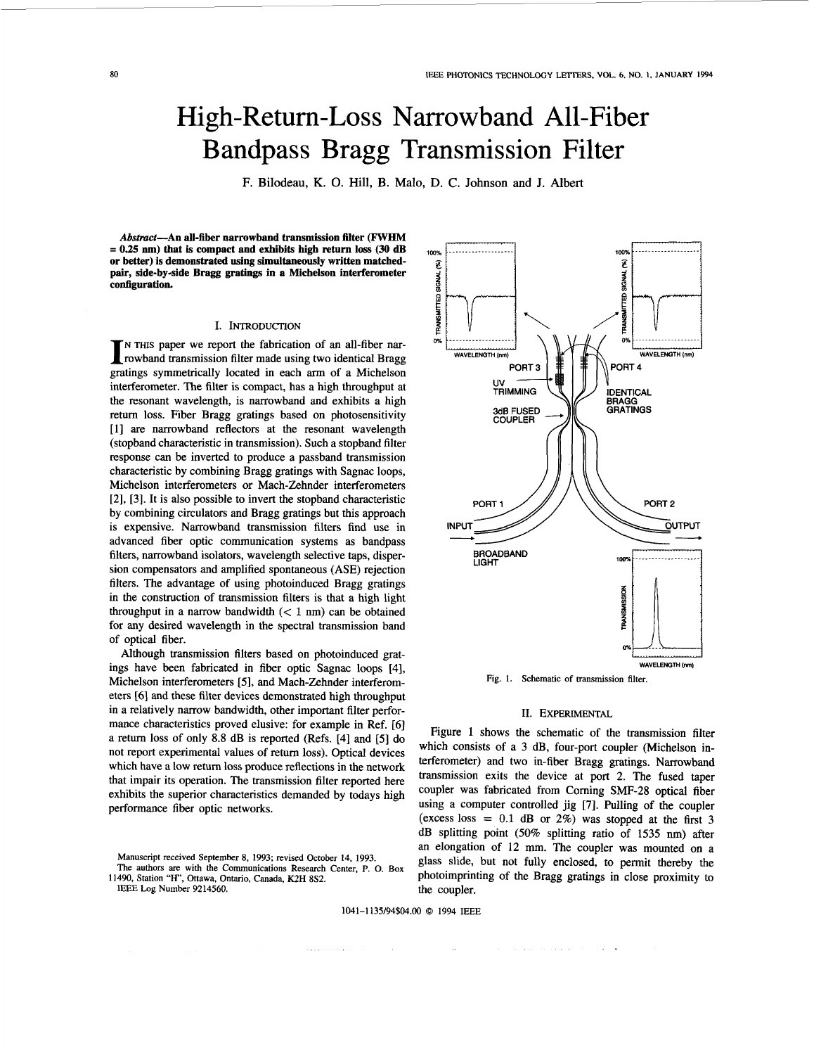# High-Return-Loss Narrowband All-Fiber Bandpass Bragg Transmission Filter

F. Bilodeau, K. 0. Hill, B. Malo, D. C. **Johnson** and J. Albert

**Abstract-An all-fiber narrowband transmission filter (FWHM**   $or$  better) is demonstrated using simultaneously written matched**pair, side-by-side Bragg gratings in a Michelson interferometer configuration.** 

## I. INTRODUCTION

N THIS paper we report the fabrication of an all-fiber nar- I rowband transmission filter made using two identical Bragg gratings symmetrically located in each arm of a Michelson interferometer. The filter is compact, has a high throughput at the resonant wavelength, is narrowband and exhibits a high retum loss. Fiber Bragg gratings based on photosensitivity **[l]** are narrowband reflectors at the resonant wavelength (stopband characteristic in transmission). Such a stopband filter response can be inverted to produce a passband transmission characteristic by combining Bragg gratings with Sagnac loops, Michelson interferometers or Mach-Zehnder interferometers **[2],** [3]. It is also possible to invert the stopband characteristic by combining circulators and Bragg gratings but this approach is expensive. Narrowband transmission filters find use in advanced fiber optic communication systems as bandpass filters, narrowband isolators, wavelength selective taps, dispersion compensators and amplified spontaneous (ASE) rejection filters. The advantage of using photoinduced Bragg gratings in the construction of transmission filters is that a high light throughput in a narrow bandwidth  $(< 1$  nm) can be obtained for any desired wavelength in the spectral transmission band of optical fiber.

Although transmission filters based on photoinduced gratings have been fabricated in fiber optic Sagnac loops [4], Michelson interferometers *[5],* and Mach-Zehnder interferometers [6] and these filter devices demonstrated high throughput in a relatively narrow bandwidth, other important filter performance characteristics proved elusive: for example in Ref. [6] a return loss of only 8.8 dB is reported (Refs. [4] and *[5]* do not report experimental values of return loss). Optical devices which have a low return loss produce reflections in the network that impair its operation. The transmission filter reported here exhibits the superior characteristics demanded by todays high performance fiber optic networks.

Manuscript received September 8, 1993; revised October **14,** 1993.

IEEE Log Number 9214560.



Fig. 1. Schematic of transmission filter.

#### 11. **EXPERIMENTAL**

Figure 1 shows the schematic of the transmission filter which consists of a 3 dB, four-port coupler (Michelson interferometer) and two in-fiber Bragg gratings. Narrowband transmission exits the device at port **2.** The fused taper coupler was fabricated from Coming SMF-28 optical fiber using a computer controlled jig **[7].** Pulling of the coupler (excess loss  $= 0.1$  dB or 2%) was stopped at the first 3 dB splitting point (50% splitting ratio of 1535 **nm)** after an elongation of 12 mm. The coupler was mounted on a glass slide, but not fully enclosed, to permit thereby the photoimprinting of the Bragg gratings in close proximity to the coupler.

1041-1 135/94\$04.00 *0* 1994 IEEE

 $\mathcal{L}_{\mathcal{L}}$ 

The authors **are** with the Communications Research Center, P. 0. Box 11490, Station **"H",** Ottawa, Ontario, Canada, **K2H** 8S2.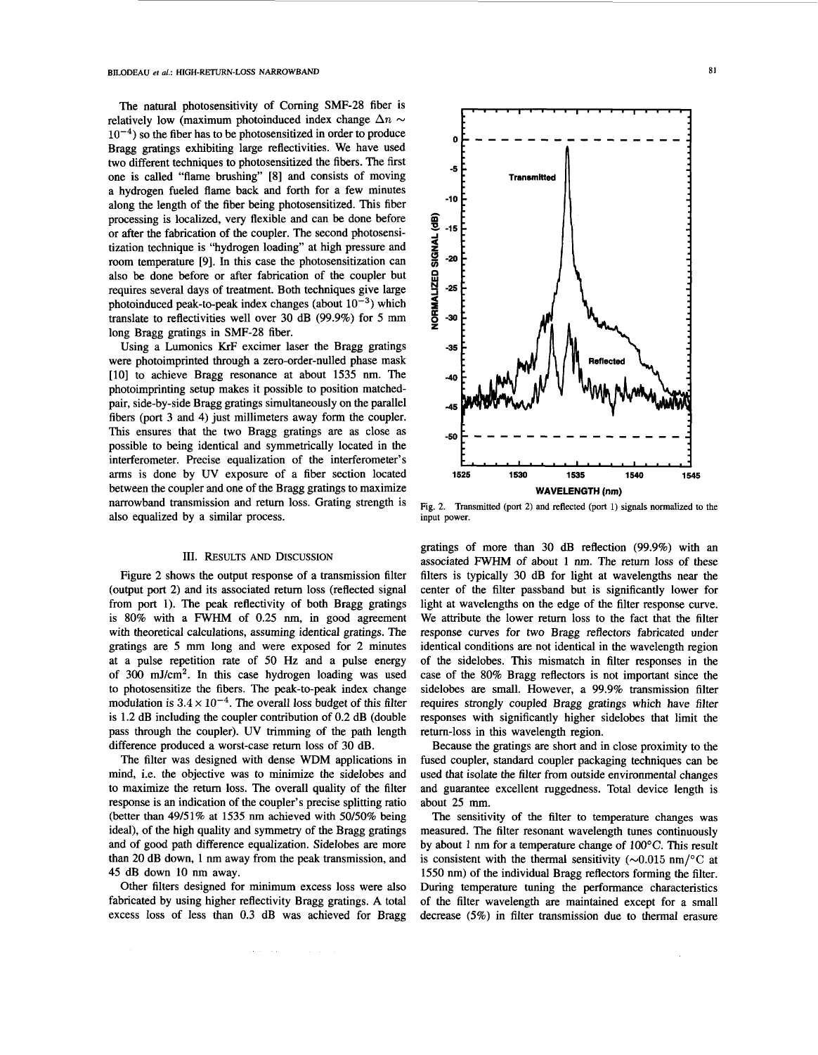The natural photosensitivity of Corning SMF-28 fiber is relatively low (maximum photoinduced index change  $\Delta n \sim 10^{-4}$ ) so the fiber has to be photosensitized in order to produce Bragg gratings exhibiting large reflectivities. We have used two different techniques to photosensitized the fibers. The first one is called "flame brushing" **[8]** and consists of moving a hydrogen fueled flame back and forth for a few minutes along the length of the fiber being photosensitized. This fiber processing is localized, very flexible and can be done before or after the fabrication of the coupler. The second photosensitization technique is "hydrogen loading" at high pressure and room temperature [9]. In this case the photosensitization can also be done before or after fabrication of the coupler but requires several days of treatment. Both techniques give large photoinduced peak-to-peak index changes (about  $10^{-3}$ ) which translate to reflectivities well over 30 dB (99.9%) for 5 mm long Bragg gratings in SMF-28 fiber.

Using a Lumonics KrF excimer laser the Bragg gratings were photoimprinted through a zero-order-nulled phase mask [10] to achieve Bragg resonance at about 1535 nm. The photoimprinting setup makes it possible to position matchedpair, side-by-side Bragg gratings simultaneously on the parallel fibers (port 3 and 4) just millimeters away form the coupler. This ensures that the two Bragg gratings are as close as possible to being identical and symmetrically located in the interferometer. Precise equalization of the interferometer's arms is done by UV exposure of a fiber section located between the coupler and one of the Bragg gratings to maximize narrowband transmission and return loss. Grating strength is also equalized by a similar process.

#### 111. RESULTS *AND* DISCUSSION

Figure 2 shows the output response of a transmission filter (output port 2) and its associated return loss (reflected signal from port 1). The peak reflectivity of both Bragg gratings is 80% with a FWHM of 0.25 nm, in good agreement with theoretical calculations, assuming identical gratings. The gratings are *5* mm long and were exposed for 2 minutes at a pulse repetition rate of 50 Hz and a pulse energy of 300 mJ/cm2. In this case hydrogen loading was used to photosensitize the fibers. The peak-to-peak index change modulation is  $3.4 \times 10^{-4}$ . The overall loss budget of this filter is 1.2 dB including the coupler contribution of 0.2 dB (double pass through the coupler). UV trimming of the path length difference produced a worst-case return loss of 30 dB.

The filter was designed with dense WDM applications in mind, i.e. the objective was to minimize the sidelobes and to maximize the return loss. The overall quality of the filter response is an indication of the coupler's precise splitting ratio (better than 49151% at 1535 nm achieved with 50/50% being ideal), of the high quality and symmetry of the Bragg gratings and of good path difference equalization. Sidelobes are more than 20 dB down, 1 nm away from the peak transmission, and 45 dB down 10 nm away.

Other filters designed for minimum excess loss were also fabricated by using higher reflectivity Bragg gratings. A total excess loss of less than 0.3 dB was achieved for Bragg

 $\alpha$  and  $\alpha$  , and  $\alpha$ 



**Fig. 2. Transmitted (port 2) and reflected (port 1) signals normalized to the input power.** 

gratings of more than 30 **dB** reflection (99.9%) with an associated FWHM of about 1 nm. The return loss of these filters is typically 30 dB for light at wavelengths near the center of the filter passband but is significantly lower for light at wavelengths on the edge of the filter response curve. We attribute the lower return loss to the fact that the filter response curves for two Bragg reflectors fabricated under identical conditions are not identical in the wavelength region of the sidelobes. This mismatch in filter responses in the case of the 80% Bragg reflectors is not important since the sidelobes are small. However, a 99.9% transmission filter requires strongly coupled Bragg gratings which have filter responses with significantly higher sidelobes that limit the return-loss in this wavelength region.

Because the gratings are short and in close proximity to the fused coupler, standard coupler packaging techniques can be used that isolate the filter from outside environmental changes and guarantee excellent ruggedness. Total device length is about 25 mm.

The sensitivity of the filter to temperature changes was measured. The filter resonant wavelength tunes continuously by about 1 nm for a temperature change of  $100^{\circ}$ C. This result is consistent with the thermal sensitivity ( $\sim 0.015$  nm/°C at 1550 nm) of the individual Bragg reflectors forming the filter. During temperature tuning the performance characteristics of the filter wavelength are maintained except for a small decrease (5%) in filter transmission due to thermal erasure